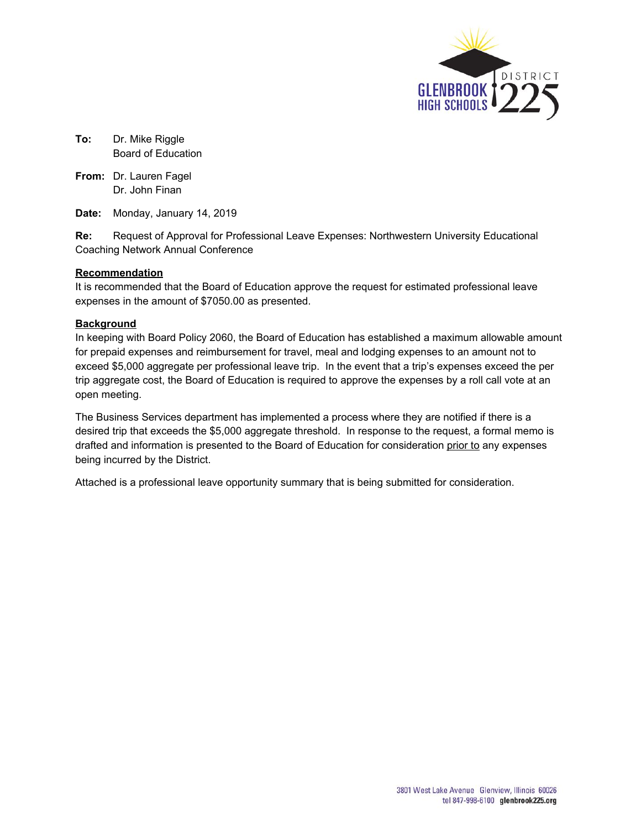

**To:** Dr. Mike Riggle Board of Education

**From:** Dr. Lauren Fagel Dr. John Finan

**Date:** Monday, January 14, 2019

**Re:** Request of Approval for Professional Leave Expenses: Northwestern University Educational Coaching Network Annual Conference

# **Recommendation**

It is recommended that the Board of Education approve the request for estimated professional leave expenses in the amount of \$7050.00 as presented.

## **Background**

In keeping with Board Policy 2060, the Board of Education has established a maximum allowable amount for prepaid expenses and reimbursement for travel, meal and lodging expenses to an amount not to exceed \$5,000 aggregate per professional leave trip. In the event that a trip's expenses exceed the per trip aggregate cost, the Board of Education is required to approve the expenses by a roll call vote at an open meeting.

The Business Services department has implemented a process where they are notified if there is a desired trip that exceeds the \$5,000 aggregate threshold. In response to the request, a formal memo is drafted and information is presented to the Board of Education for consideration prior to any expenses being incurred by the District.

Attached is a professional leave opportunity summary that is being submitted for consideration.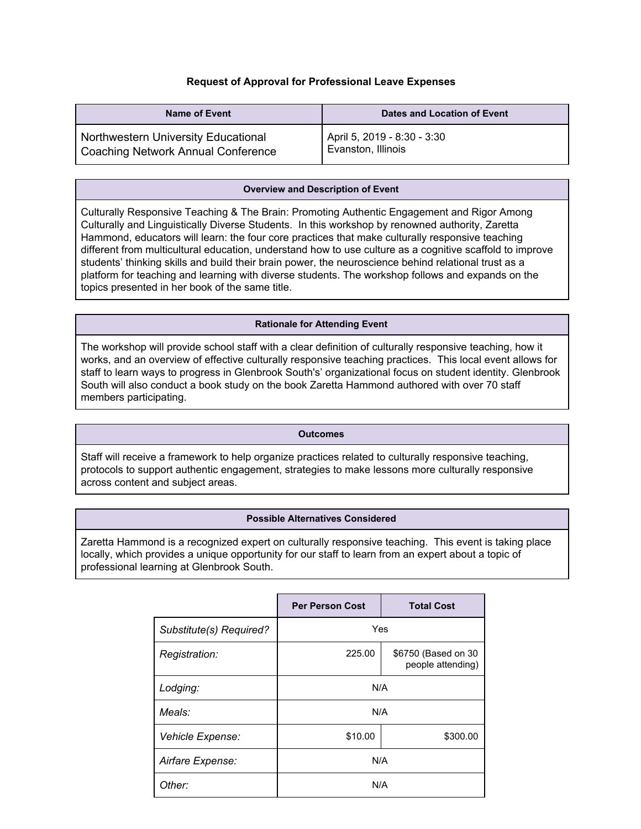# **Request of Approval for Professional Leave Expenses**

| <b>Name of Event</b>                | Dates and Location of Event |
|-------------------------------------|-----------------------------|
| Northwestern University Educational | April 5, 2019 - 8:30 - 3:30 |
| Coaching Network Annual Conference  | Evanston, Illinois          |

### **Overview and Description of Event**

Culturally Responsive Teaching & The Brain: Promoting Authentic Engagement and Rigor Among Culturally and Linguistically Diverse Students. In this workshop by renowned authority, Zaretta Hammond, educators will learn: the four core practices that make culturally responsive teaching different from multicultural education, understand how to use culture as a cognitive scaffold to improve students' thinking skills and build their brain power, the neuroscience behind relational trust as a platform for teaching and learning with diverse students. The workshop follows and expands on the topics presented in her book of the same title.

### **Rationale for Attending Event**

The workshop will provide school staff with a clear definition of culturally responsive teaching, how it works, and an overview of effective culturally responsive teaching practices. This local event allows for staff to learn ways to progress in Glenbrook South's' organizational focus on student identity. Glenbrook South will also conduct a book study on the book Zaretta Hammond authored with over 70 staff members participating.

#### **Outcomes**

Staff will receive a framework to help organize practices related to culturally responsive teaching, protocols to support authentic engagement, strategies to make lessons more culturally responsive across content and subject areas.

### **Possible Alternatives Considered**

Zaretta Hammond is a recognized expert on culturally responsive teaching. This event is taking place locally, which provides a unique opportunity for our staff to learn from an expert about a topic of professional learning at Glenbrook South.

|                         | <b>Per Person Cost</b> | <b>Total Cost</b>                        |
|-------------------------|------------------------|------------------------------------------|
| Substitute(s) Required? | Yes                    |                                          |
| Registration:           | 225.00                 | \$6750 (Based on 30<br>people attending) |
| Lodging:                | N/A                    |                                          |
| Meals:                  | N/A                    |                                          |
| Vehicle Expense:        | \$10.00                | \$300.00                                 |
| Airfare Expense:        | N/A                    |                                          |
| Other:                  | N/A                    |                                          |